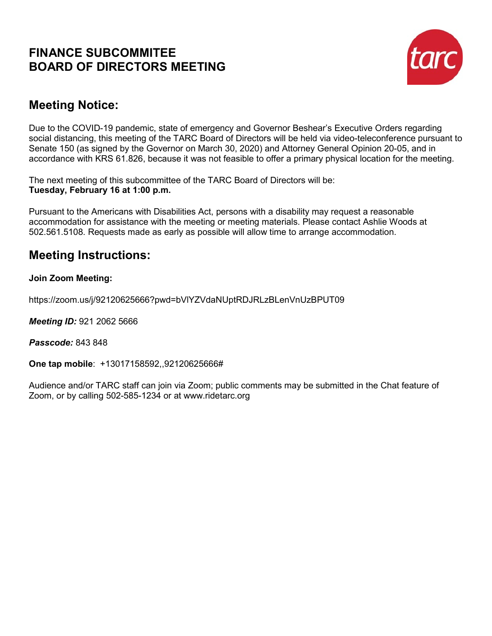## **FINANCE SUBCOMMITEE BOARD OF DIRECTORS MEETING**



# **Meeting Notice:**

Due to the COVID-19 pandemic, state of emergency and Governor Beshear's Executive Orders regarding social distancing, this meeting of the TARC Board of Directors will be held via video-teleconference pursuant to Senate 150 (as signed by the Governor on March 30, 2020) and Attorney General Opinion 20-05, and in accordance with KRS 61.826, because it was not feasible to offer a primary physical location for the meeting.

The next meeting of this subcommittee of the TARC Board of Directors will be: **Tuesday, February 16 at 1:00 p.m.**

Pursuant to the Americans with Disabilities Act, persons with a disability may request a reasonable accommodation for assistance with the meeting or meeting materials. Please contact Ashlie Woods at 502.561.5108. Requests made as early as possible will allow time to arrange accommodation.

# **Meeting Instructions:**

## **Join Zoom Meeting:**

https://zoom.us/j/92120625666?pwd=bVlYZVdaNUptRDJRLzBLenVnUzBPUT09

*Meeting ID:* 921 2062 5666

### *Passcode:* 843 848

**One tap mobile**: +13017158592,,92120625666#

Audience and/or TARC staff can join via Zoom; public comments may be submitted in the Chat feature of Zoom, or by calling 502-585-1234 or at www.ridetarc.org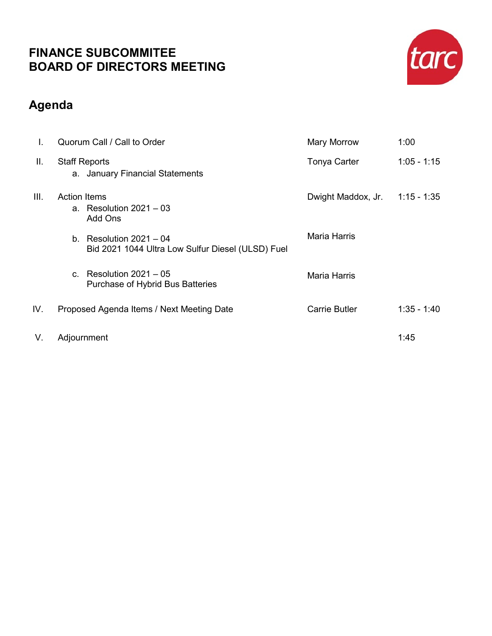# **FINANCE SUBCOMMITEE BOARD OF DIRECTORS MEETING**



# **Agenda**

| Ι.   | Quorum Call / Call to Order                                                    | Mary Morrow         | 1:00          |
|------|--------------------------------------------------------------------------------|---------------------|---------------|
| Ш.   | <b>Staff Reports</b><br>a. January Financial Statements                        | Tonya Carter        | $1:05 - 1:15$ |
| III. | <b>Action Items</b><br>a. Resolution $2021 - 03$<br>Add Ons                    | Dwight Maddox, Jr.  | $1:15 - 1:35$ |
|      | b. Resolution $2021 - 04$<br>Bid 2021 1044 Ultra Low Sulfur Diesel (ULSD) Fuel | <b>Maria Harris</b> |               |
|      | Resolution $2021 - 05$<br>$\mathbf{C}$ .<br>Purchase of Hybrid Bus Batteries   | Maria Harris        |               |
| IV.  | Proposed Agenda Items / Next Meeting Date                                      | Carrie Butler       | $1:35 - 1:40$ |
| V.   | Adjournment                                                                    |                     | 1:45          |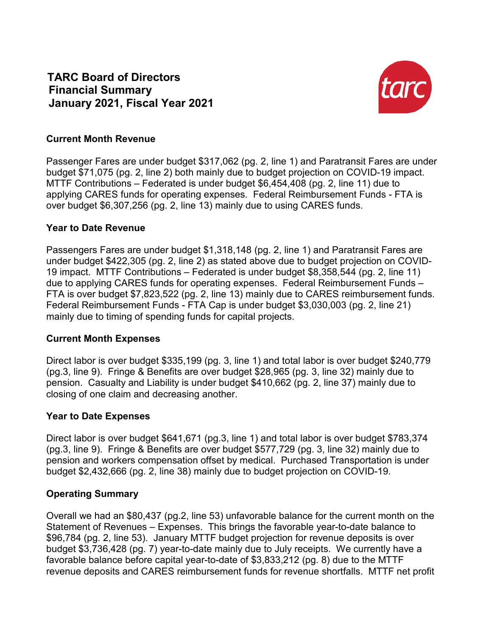**TARC Board of Directors Financial Summary January 2021, Fiscal Year 2021**



### **Current Month Revenue**

Passenger Fares are under budget \$317,062 (pg. 2, line 1) and Paratransit Fares are under budget \$71,075 (pg. 2, line 2) both mainly due to budget projection on COVID-19 impact. MTTF Contributions – Federated is under budget \$6,454,408 (pg. 2, line 11) due to applying CARES funds for operating expenses. Federal Reimbursement Funds - FTA is over budget \$6,307,256 (pg. 2, line 13) mainly due to using CARES funds.

## **Year to Date Revenue**

Passengers Fares are under budget \$1,318,148 (pg. 2, line 1) and Paratransit Fares are under budget \$422,305 (pg. 2, line 2) as stated above due to budget projection on COVID-19 impact. MTTF Contributions – Federated is under budget \$8,358,544 (pg. 2, line 11) due to applying CARES funds for operating expenses. Federal Reimbursement Funds – FTA is over budget \$7,823,522 (pg. 2, line 13) mainly due to CARES reimbursement funds. Federal Reimbursement Funds - FTA Cap is under budget \$3,030,003 (pg. 2, line 21) mainly due to timing of spending funds for capital projects.

### **Current Month Expenses**

Direct labor is over budget \$335,199 (pg. 3, line 1) and total labor is over budget \$240,779 (pg.3, line 9). Fringe & Benefits are over budget \$28,965 (pg. 3, line 32) mainly due to pension. Casualty and Liability is under budget \$410,662 (pg. 2, line 37) mainly due to closing of one claim and decreasing another.

## **Year to Date Expenses**

Direct labor is over budget \$641,671 (pg.3, line 1) and total labor is over budget \$783,374 (pg.3, line 9). Fringe & Benefits are over budget \$577,729 (pg. 3, line 32) mainly due to pension and workers compensation offset by medical. Purchased Transportation is under budget \$2,432,666 (pg. 2, line 38) mainly due to budget projection on COVID-19.

## **Operating Summary**

Overall we had an \$80,437 (pg.2, line 53) unfavorable balance for the current month on the Statement of Revenues – Expenses. This brings the favorable year-to-date balance to \$96,784 (pg. 2, line 53). January MTTF budget projection for revenue deposits is over budget \$3,736,428 (pg. 7) year-to-date mainly due to July receipts. We currently have a favorable balance before capital year-to-date of \$3,833,212 (pg. 8) due to the MTTF revenue deposits and CARES reimbursement funds for revenue shortfalls. MTTF net profit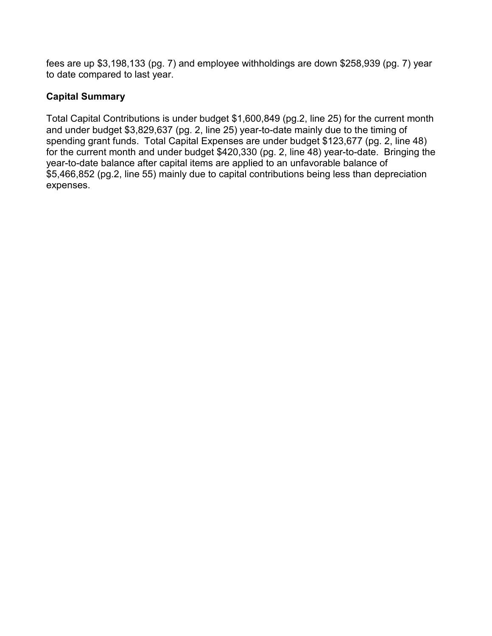fees are up \$3,198,133 (pg. 7) and employee withholdings are down \$258,939 (pg. 7) year to date compared to last year.

## **Capital Summary**

Total Capital Contributions is under budget \$1,600,849 (pg.2, line 25) for the current month and under budget \$3,829,637 (pg. 2, line 25) year-to-date mainly due to the timing of spending grant funds. Total Capital Expenses are under budget \$123,677 (pg. 2, line 48) for the current month and under budget \$420,330 (pg. 2, line 48) year-to-date. Bringing the year-to-date balance after capital items are applied to an unfavorable balance of \$5,466,852 (pg.2, line 55) mainly due to capital contributions being less than depreciation expenses.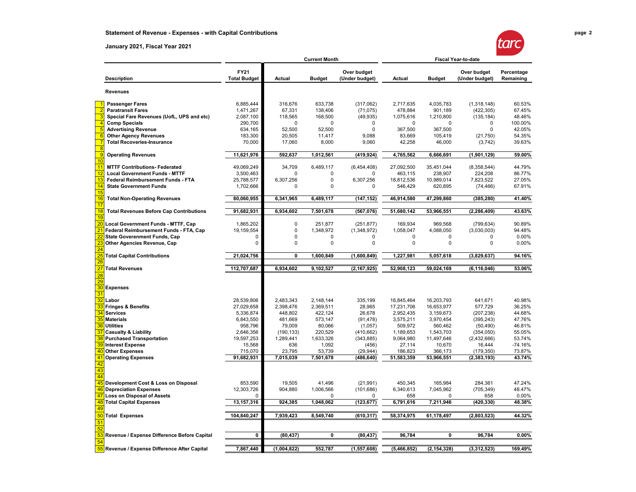# **Statement of Revenue - Expenses - with Capital Contributions page 2**

#### **January 2021, Fiscal Year 2021**

|   | ſ |  |  |
|---|---|--|--|
| Л |   |  |  |
|   |   |  |  |

|                |                                                |                                    |               | <b>Current Month</b> |                               | <b>Fiscal Year-to-date</b> |               |                               |                         |
|----------------|------------------------------------------------|------------------------------------|---------------|----------------------|-------------------------------|----------------------------|---------------|-------------------------------|-------------------------|
|                | <b>Description</b>                             | <b>FY21</b><br><b>Total Budget</b> | <b>Actual</b> | <b>Budget</b>        | Over budget<br>(Under budget) | Actual                     | <b>Budget</b> | Over budget<br>(Under budget) | Percentage<br>Remaining |
|                | <b>Revenues</b>                                |                                    |               |                      |                               |                            |               |                               |                         |
|                | <b>Passenger Fares</b>                         | 6,885,444                          | 316,676       | 633,738              | (317,062)                     | 2,717,635                  | 4,035,783     | (1,318,148)                   | 60.53%                  |
|                | <b>Paratransit Fares</b>                       | 1,471,267                          | 67,331        | 138,406              | (71, 075)                     | 478,884                    | 901,189       | (422, 305)                    | 67.45%                  |
|                | Special Fare Revenues (UofL, UPS and etc)      | 2,087,100                          | 118,565       | 168,500              | (49, 935)                     | 1,075,616                  | 1,210,800     | (135, 184)                    | 48.46%                  |
| $\overline{4}$ | <b>Comp Specials</b>                           | 290,700                            | 0             | 0                    | 0                             | 0                          | 0             | 0                             | 100.00%                 |
| E              | <b>Advertising Revenue</b>                     | 634,165                            | 52,500        | 52,500               | $\mathbf 0$                   | 367,500                    | 367,500       | $\Omega$                      | 42.05%                  |
| $\epsilon$     | <b>Other Agency Revenues</b>                   | 183,300                            | 20,505        | 11,417               | 9,088                         | 83,669                     | 105,419       | (21,750)                      | 54.35%                  |
|                | <b>Total Recoveries-Insurance</b>              | 70,000                             | 17,060        | 8,000                | 9,060                         | 42,258                     | 46,000        | (3,742)                       | 39.63%                  |
|                |                                                |                                    |               |                      |                               |                            |               |                               |                         |
|                | <b>Operating Revenues</b>                      | 11,621,976                         | 592,637       | 1,012,561            | (419,924)                     | 4,765,562                  | 6,666,691     | (1,901,129)                   | 59.00%                  |
| 10             |                                                |                                    |               |                      |                               |                            |               |                               |                         |
| 11             | <b>MTTF Contributions- Federated</b>           | 49,069,249                         | 34,709        | 6,489,117            | (6,454,408)                   | 27,092,500                 | 35,451,044    | (8,358,544)                   | 44.79%                  |
| 12             | <b>Local Government Funds - MTTF</b>           | 3,500,463                          | $\Omega$      | $\Omega$             |                               | 463,115                    | 238,907       | 224,208                       | 86.77%                  |
| 13             | Federal Reimbursement Funds - FTA              | 25,788,577                         | 6,307,256     | 0                    | 6,307,256                     | 18,812,536                 | 10,989,014    | 7,823,522                     | 27.05%                  |
| 14             | <b>State Government Funds</b>                  | 1,702,666                          | 0             | 0                    | 0                             | 546,429                    | 620,895       | (74, 466)                     | 67.91%                  |
| 15<br>16       | <b>Total Non-Operating Revenues</b>            | 80,060,955                         | 6,341,965     | 6,489,117            | (147, 152)                    | 46,914,580                 | 47,299,860    | (385, 280)                    | 41.40%                  |
| 17             |                                                |                                    |               |                      |                               |                            |               |                               |                         |
| 18<br>19       | <b>Total Revenues Before Cap Contributions</b> | 91,682,931                         | 6,934,602     | 7,501,678            | (567, 076)                    | 51,680,142                 | 53,966,551    | (2, 286, 409)                 | 43.63%                  |
| 20             | Local Government Funds - MTTF, Cap             | 1,865,202                          | 0             | 251,877              | (251, 877)                    | 169,934                    | 969,568       | (799, 634)                    | 90.89%                  |
|                | Federal Reimbursement Funds - FTA, Cap         | 19,159,554                         | $\pmb{0}$     | 1,348,972            | (1,348,972)                   | 1,058,047                  | 4,088,050     | (3,030,003)                   | 94.48%                  |
|                | <b>State Goverenment Funds, Cap</b>            | 0                                  | $\pmb{0}$     | $\Omega$             | $\Omega$                      | $\Omega$                   | 0             | $\Omega$                      | 0.00%                   |
|                | Other Agencies Revenue, Cap                    | 0                                  | 0             | 0                    | $\mathbf 0$                   | 0                          | $\mathbf 0$   | $\Omega$                      | 0.00%                   |
|                |                                                |                                    |               |                      |                               |                            |               |                               |                         |
| 26             | <b>Total Capital Contributions</b>             | 21,024,756                         | 0             | 1,600,849            | (1,600,849)                   | 1,227,981                  | 5,057,618     | (3,829,637)                   | 94.16%                  |
| 27             | <b>Total Revenues</b>                          | 112,707,687                        | 6,934,602     | 9,102,527            | (2, 167, 925)                 | 52,908,123                 | 59,024,169    | (6, 116, 046)                 | 53.06%                  |
| 28             |                                                |                                    |               |                      |                               |                            |               |                               |                         |
| 29             |                                                |                                    |               |                      |                               |                            |               |                               |                         |
| 30<br>31       | <b>Expenses</b>                                |                                    |               |                      |                               |                            |               |                               |                         |
| 32             |                                                | 28,539,806                         |               | 2,148,144            |                               |                            |               | 641,671                       | 40.98%                  |
|                | Labor                                          |                                    | 2,483,343     |                      | 335,199                       | 16,845,464                 | 16,203,793    |                               |                         |
|                | <b>Fringes &amp; Benefits</b>                  | 27,029,658                         | 2,398,476     | 2,369,511            | 28,965                        | 17,231,706                 | 16,653,977    | 577,729                       | 36.25%                  |
| 34             | <b>Services</b>                                | 5,336,874                          | 448,802       | 422,124              | 26,678                        | 2,952,435                  | 3,159,673     | (207,238)                     | 44.68%                  |
| 35             | <b>Materials</b>                               | 6,843,550                          | 481,669       | 573,147              | (91, 478)                     | 3,575,211                  | 3,970,454     | (395, 243)                    | 47.76%                  |
| 36             | <b>Utilities</b>                               | 958,796                            | 79,009        | 80,066               | (1,057)                       | 509,972                    | 560,462       | (50, 490)                     | 46.81%                  |
|                | <b>Casualty &amp; Liability</b>                | 2,646,356                          | (190, 133)    | 220,529              | (410, 662)                    | 1,189,653                  | 1,543,703     | (354, 050)                    | 55.05%                  |
|                | <b>Purchased Transportation</b>                | 19,597,253                         | 1,289,441     | 1,633,326            | (343, 885)                    | 9,064,980                  | 11,497,646    | (2,432,666)                   | 53.74%                  |
| 39             | <b>Interest Expense</b>                        | 15,568                             | 636           | 1,092                | (456)                         | 27,114                     | 10,670        | 16,444                        | -74.16%                 |
|                | <b>Other Expenses</b>                          | 715,070                            | 23,795        | 53,739               | (29, 944)                     | 186,823                    | 366,173       | (179, 350)                    | 73.87%                  |
| 41             | <b>Operating Expenses</b>                      | 91,682,931                         | 7,015,039     | 7,501,678            | (486, 640)                    | 51,583,359                 | 53,966,551    | (2, 383, 193)                 | 43.74%                  |
| 42             |                                                |                                    |               |                      |                               |                            |               |                               |                         |
| 43             |                                                |                                    |               |                      |                               |                            |               |                               |                         |
| 44<br>45       |                                                | 853,590                            | 19,505        | 41,496               | (21, 991)                     | 450,345                    | 165,984       | 284,361                       | 47.24%                  |
|                | Development Cost & Loss on Disposal            |                                    |               |                      |                               |                            |               |                               |                         |
| 46             | <b>Depreciation Expenses</b>                   | 12,303,726                         | 904,880       | 1,006,566            | (101, 686)                    | 6,340,613                  | 7,045,962     | (705, 349)                    | 48.47%                  |
| 47             | <b>Loss on Disposal of Assets</b>              | 0                                  |               | 0                    | 0                             | 658                        | 0             | 658                           | 0.00%                   |
| 48<br>49       | <b>Total Capital Expenses</b>                  | 13, 157, 316                       | 924,385       | 1,048,062            | (123, 677)                    | 6,791,616                  | 7,211,946     | (420, 330)                    | 48.38%                  |
| 50             | <b>Total Expenses</b>                          | 104,840,247                        | 7,939,423     | 8,549,740            | (610, 317)                    | 58,374,975                 | 61.178.497    | (2,803,523)                   | 44.32%                  |
| 51             |                                                |                                    |               |                      |                               |                            |               |                               |                         |
| 52             |                                                |                                    |               |                      |                               |                            |               |                               |                         |
|                | Revenue / Expense Difference Before Capital    | 0                                  | (80, 437)     | 0                    | (80, 437)                     | 96,784                     | 0             | 96,784                        | 0.00%                   |
| 54             |                                                |                                    |               |                      |                               |                            |               |                               |                         |
| 55             | Revenue / Expense Difference After Capital     | 7,867,440                          | (1,004,822)   | 552,787              | (1, 557, 608)                 | (5, 466, 852)              | (2, 154, 328) | (3,312,523)                   | 169.49%                 |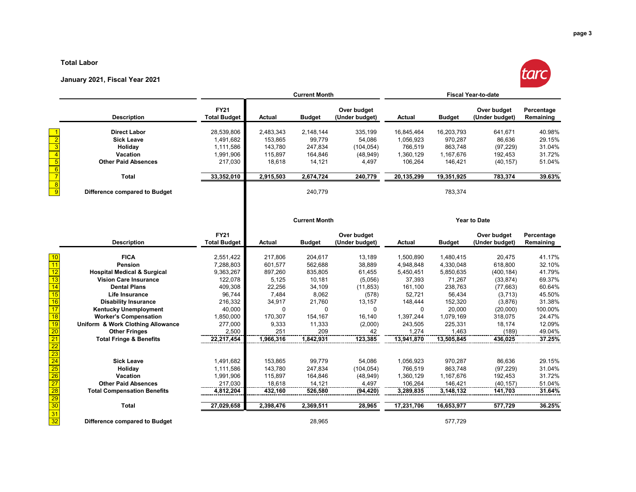#### **Total Labor**

#### **January 2021, Fiscal Year 2021**



|                                                                                                   |                                        | <b>Current Month</b>               |               |                      | <b>Fiscal Year-to-date</b>    |               |               |                               |                         |
|---------------------------------------------------------------------------------------------------|----------------------------------------|------------------------------------|---------------|----------------------|-------------------------------|---------------|---------------|-------------------------------|-------------------------|
|                                                                                                   | <b>Description</b>                     | <b>FY21</b><br><b>Total Budget</b> | Actual        | <b>Budget</b>        | Over budget<br>(Under budget) | <b>Actual</b> | <b>Budget</b> | Over budget<br>(Under budget) | Percentage<br>Remaining |
|                                                                                                   | <b>Direct Labor</b>                    | 28,539,806                         | 2,483,343     | 2,148,144            | 335,199                       | 16,845,464    | 16,203,793    | 641,671                       | 40.98%                  |
| $\overline{2}$                                                                                    | <b>Sick Leave</b>                      | 1,491,682                          | 153,865       | 99,779               | 54,086                        | 1,056,923     | 970,287       | 86,636                        | 29.15%                  |
| $\overline{3}$                                                                                    | Holiday                                | 1,111,586                          | 143,780       | 247,834              | (104, 054)                    | 766,519       | 863,748       | (97, 229)                     | 31.04%                  |
| $\overline{4}$                                                                                    | <b>Vacation</b>                        | 1,991,906                          | 115,897       | 164,846              | (48, 949)                     | 1,360,129     | 1,167,676     | 192,453                       | 31.72%                  |
| $\overline{5}$                                                                                    | <b>Other Paid Absences</b>             | 217,030                            | 18,618        | 14,121               | 4,497                         | 106,264       | 146,421       | (40, 157)                     | 51.04%                  |
| $\frac{6}{7}$                                                                                     | <b>Total</b>                           | 33,352,010                         | 2,915,503     | 2,674,724            | 240,779                       | 20,135,299    | 19,351,925    | 783,374                       | 39.63%                  |
| $\overline{\mathbf{8}}$<br>$\overline{9}$                                                         | Difference compared to Budget          |                                    |               | 240,779              |                               |               | 783,374       |                               |                         |
|                                                                                                   |                                        |                                    |               | <b>Current Month</b> |                               |               |               | <b>Year to Date</b>           |                         |
|                                                                                                   | <b>Description</b>                     | <b>FY21</b><br><b>Total Budget</b> | <b>Actual</b> | <b>Budget</b>        | Over budget<br>(Under budget) | <b>Actual</b> | <b>Budget</b> | Over budget<br>(Under budget) | Percentage<br>Remaining |
| 10                                                                                                | <b>FICA</b>                            | 2,551,422                          | 217,806       | 204,617              | 13,189                        | 1,500,890     | 1,480,415     | 20,475                        | 41.17%                  |
| 11                                                                                                | <b>Pension</b>                         | 7,288,803                          | 601,577       | 562,688              | 38,889                        | 4,948,848     | 4,330,048     | 618,800                       | 32.10%                  |
| 12                                                                                                | <b>Hospital Medical &amp; Surgical</b> | 9,363,267                          | 897,260       | 835,805              | 61,455                        | 5,450,451     | 5,850,635     | (400, 184)                    | 41.79%                  |
| $\overline{13}$                                                                                   | <b>Vision Care Insurance</b>           | 122.078                            | 5,125         | 10,181               | (5,056)                       | 37,393        | 71,267        | (33, 874)                     | 69.37%                  |
| 14                                                                                                | <b>Dental Plans</b>                    | 409,308                            | 22,256        | 34,109               | (11, 853)                     | 161,100       | 238,763       | (77, 663)                     | 60.64%                  |
| 15                                                                                                | <b>Life Insurance</b>                  | 96,744                             | 7,484         | 8,062                | (578)                         | 52,721        | 56,434        | (3,713)                       | 45.50%                  |
| 16                                                                                                | <b>Disability Insurance</b>            | 216,332                            | 34,917        | 21,760               | 13,157                        | 148,444       | 152,320       | (3,876)                       | 31.38%                  |
| $\overline{17}$                                                                                   | <b>Kentucky Unemployment</b>           | 40,000                             | 0             | $\mathbf 0$          | 0                             | $\Omega$      | 20,000        | (20,000)                      | 100.00%                 |
| $\overline{18}$                                                                                   | <b>Worker's Compensation</b>           | 1,850,000                          | 170,307       | 154,167              | 16,140                        | 1,397,244     | 1,079,169     | 318,075                       | 24.47%                  |
| 19                                                                                                | Uniform & Work Clothing Allowance      | 277,000                            | 9,333         | 11,333               | (2,000)                       | 243,505       | 225,331       | 18,174                        | 12.09%                  |
| $\overline{20}$                                                                                   | <b>Other Fringes</b>                   | 2,500                              | 251           | 209                  | 42                            | 1,274         | 1,463         | (189)                         | 49.04%                  |
|                                                                                                   | <b>Total Fringe &amp; Benefits</b>     | 22,217,454                         | 1,966,316     | 1,842,931            | 123,385                       | 13,941,870    | 13,505,845    | 436,025                       | 37.25%                  |
| $\begin{array}{r}\n\overline{21} \\ \overline{22} \\ \overline{23} \\ \overline{24}\n\end{array}$ |                                        |                                    |               |                      |                               |               |               |                               |                         |
|                                                                                                   | <b>Sick Leave</b>                      | 1,491,682                          | 153,865       | 99,779               | 54,086                        | 1,056,923     | 970,287       | 86,636                        | 29.15%                  |
| $\overline{25}$                                                                                   | Holiday                                | 1,111,586                          | 143,780       | 247,834              | (104, 054)                    | 766,519       | 863,748       | (97, 229)                     | 31.04%                  |
| $\overline{26}$                                                                                   | Vacation                               | 1,991,906                          | 115,897       | 164,846              | (48, 949)                     | 1,360,129     | 1,167,676     | 192,453                       | 31.72%                  |
| $\overline{27}$                                                                                   | <b>Other Paid Absences</b>             | 217,030                            | 18,618        | 14,121               | 4,497                         | 106,264       | 146,421       | (40, 157)                     | 51.04%                  |
| $\overline{28}$                                                                                   | <b>Total Compensation Benefits</b>     | 4,812,204                          | 432,160       | 526,580              | (94, 420)                     | 3,289,835     | 3,148,132     | 141,703                       | 31.64%                  |
| $\overline{29}$                                                                                   |                                        |                                    |               |                      |                               |               |               |                               |                         |

**Difference compared to Budget** 28,965 577,729

**Total 27,029,658 2,398,476 2,369,511 28,965 17,231,706 16,653,977 577,729 36.25%**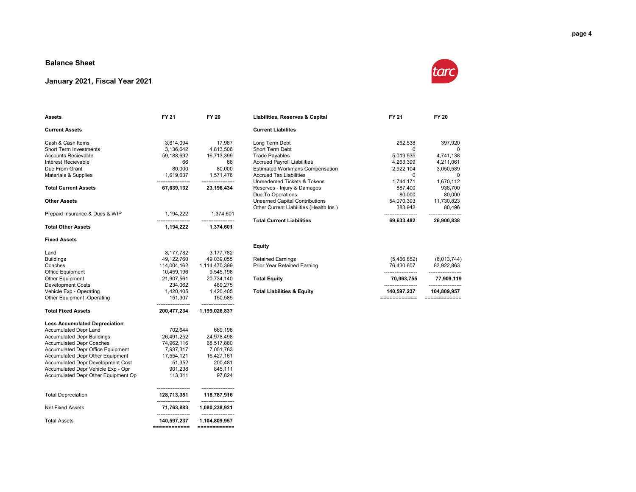#### **Balance Sheet**

#### **January 2021, Fiscal Year 2021**



| <b>Current Assets</b>                    |                                   |                                       | <b>Current Liabilites</b>                                  |                      |                      |
|------------------------------------------|-----------------------------------|---------------------------------------|------------------------------------------------------------|----------------------|----------------------|
| Cash & Cash Items                        | 3,614,094                         | 17,987                                | Long Term Debt                                             | 262,538              | 397,920              |
| Short Term Investments                   | 3,136,642                         | 4,813,506                             | Short Term Debt                                            | 0                    | $\Omega$             |
| <b>Accounts Recievable</b>               | 59,188,692                        | 16,713,399                            | <b>Trade Payables</b>                                      | 5,019,535            | 4,741,138            |
| Interest Recievable                      | 66                                | 66                                    | <b>Accrued Payroll Liabilities</b>                         | 4,263,399            | 4,211,061            |
| Due From Grant                           | 80,000                            | 80,000                                | <b>Estimated Workmans Compensation</b>                     | 2,922,104            | 3,050,589            |
| Materials & Supplies                     | 1,619,637                         | 1,571,476                             | <b>Accrued Tax Liabilities</b>                             | $\Omega$             | $\Omega$             |
| <b>Total Current Assets</b>              | .<br>67,639,132                   | ------------------<br>23, 196, 434    | Unreedemed Tickets & Tokens<br>Reserves - Injury & Damages | 1,744,171<br>887,400 | 1,670,112<br>938,700 |
|                                          |                                   |                                       | Due To Operations                                          | 80,000               | 80,000               |
| <b>Other Assets</b>                      |                                   |                                       | <b>Unearned Capital Contributions</b>                      | 54,070,393           | 11,730,823           |
|                                          |                                   |                                       | Other Current Liabilities (Health Ins.)                    | 383,942              | 80.496               |
| Prepaid Insurance & Dues & WIP           | 1,194,222                         | 1,374,601                             | <b>Total Current Liabilities</b>                           | 69,633,482           | 26,900,838           |
| <b>Total Other Assets</b>                | 1,194,222                         | 1,374,601                             |                                                            |                      |                      |
| <b>Fixed Assets</b>                      |                                   |                                       |                                                            |                      |                      |
|                                          |                                   |                                       | <b>Equity</b>                                              |                      |                      |
| Land                                     | 3,177,782                         | 3,177,782                             |                                                            |                      |                      |
| <b>Buildings</b>                         | 49,122,760                        | 49,039,055                            | <b>Retained Earnings</b>                                   | (5,466,852)          | (6,013,744)          |
| Coaches                                  | 114,004,162                       | 1,114,470,399                         | Prior Year Retained Earning                                | 76,430,607           | 83,922,863           |
| Office Equipment                         | 10,459,196                        | 9,545,198                             |                                                            | -------------------  | -------------------  |
| <b>Other Equipment</b>                   | 21,907,561                        | 20,734,140                            | <b>Total Equity</b>                                        | 70,963,755           | 77,909,119           |
| <b>Development Costs</b>                 | 234,062                           | 489,275                               |                                                            |                      |                      |
| Vehicle Exp - Operating                  | 1,420,405                         | 1,420,405                             | <b>Total Liabilities &amp; Equity</b>                      | 140,597,237          | 104,809,957          |
| Other Equipment -Operating               | 151,307<br>--------------         | 150,585                               |                                                            | ============         | ============         |
| <b>Total Fixed Assets</b>                | 200,477,234                       | 1,199,026,837                         |                                                            |                      |                      |
| <b>Less Accumulated Depreciation</b>     |                                   |                                       |                                                            |                      |                      |
| Accumulated Depr Land                    | 702,644                           | 669,198                               |                                                            |                      |                      |
| <b>Accumulated Depr Buildings</b>        | 26,491,252                        | 24,978,498                            |                                                            |                      |                      |
| <b>Accumulated Depr Coaches</b>          | 74,962,116                        | 68,517,880                            |                                                            |                      |                      |
| <b>Accumulated Depr Office Equipment</b> | 7.937.317                         | 7.051.763                             |                                                            |                      |                      |
| Accumulated Depr Other Equipment         | 17,554,121                        | 16,427,161                            |                                                            |                      |                      |
| Accumulated Depr Development Cost        | 51,352                            | 200,481                               |                                                            |                      |                      |
| Accumulated Depr Vehicle Exp - Opr       | 901,238                           | 845,111                               |                                                            |                      |                      |
| Accumulated Depr Other Equipment Op      | 113,311                           | 97,824                                |                                                            |                      |                      |
| <b>Total Depreciation</b>                | 128.713.351                       | 118.787.916                           |                                                            |                      |                      |
| <b>Net Fixed Assets</b>                  | --------------<br>71,763,883      | --------------------<br>1,080,238,921 |                                                            |                      |                      |
| <b>Total Assets</b>                      | ------------------<br>140,597,237 | --------------------<br>1,104,809,957 |                                                            |                      |                      |
|                                          | ============                      | ============                          |                                                            |                      |                      |

**Assets FY 21 FY 20 Liabilities, Reserves & Capital FY 21 FY 20**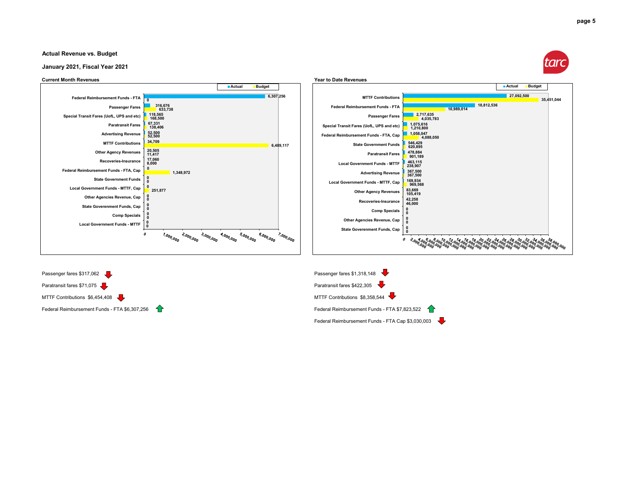#### **Actual Revenue vs. Budget**

#### **January 2021, Fiscal Year 2021**

#### **Current Month Revenues Year to Date Revenues**





Paratransit fares \$71,075 Paratransit fares \$422,305 Paratransit fares \$422,305 Paratransit fares \$422,305 Paratransit fares \$422,305 Paratransit fares \$422,305 Paratransit fares \$422,305 Paratransit fares \$422,305 Paratra MTTF Contributions  $$6,454,408$ 



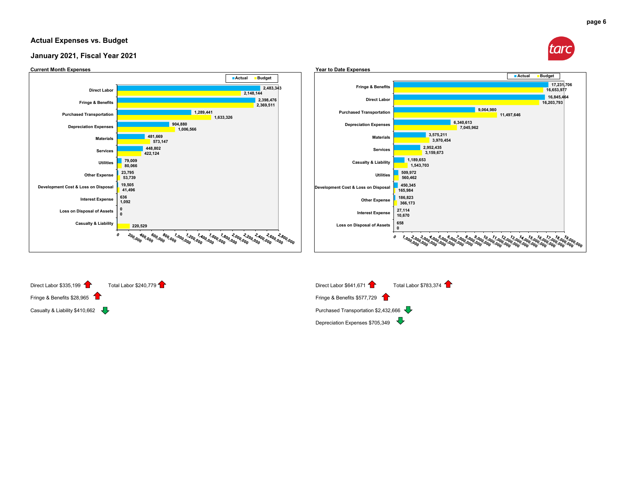#### **Actual Expenses vs. Budget**









**page 6**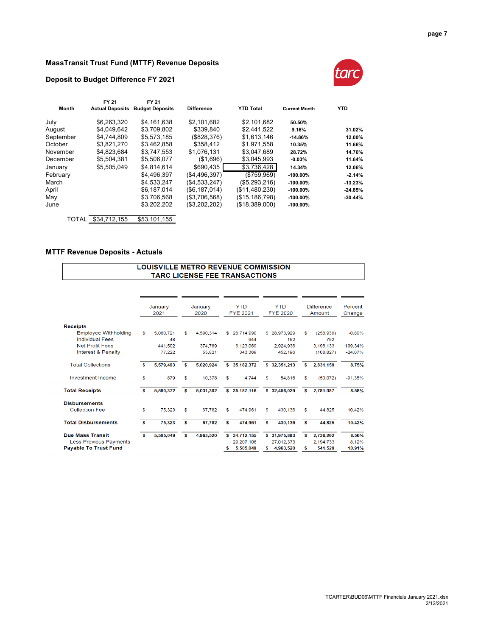#### **MassTransit Trust Fund (MTTF) Revenue Deposits**

#### **Deposit to Budget Difference FY 2021**



| <b>Actual Deposits</b> | <b>Budget Deposits</b> | <b>Difference</b> | <b>YTD Total</b> | <b>Current Month</b> | <b>YTD</b> |
|------------------------|------------------------|-------------------|------------------|----------------------|------------|
| \$6,263,320            | \$4.161.638            | \$2.101.682       | \$2.101.682      | 50.50%               |            |
| \$4.049.642            | \$3.709.802            | \$339,840         | \$2,441,522      | 9.16%                | 31.02%     |
| \$4.744.809            | \$5,573,185            | (\$828,376)       | \$1.613.146      | $-14.86%$            | 12.00%     |
| \$3,821,270            | \$3,462,858            | \$358.412         | \$1,971,558      | 10.35%               | 11.66%     |
| \$4.823.684            | \$3.747.553            | \$1.076.131       | \$3.047.689      | 28.72%               | 14.76%     |
| \$5,504,381            | \$5,506,077            | (\$1,696)         | \$3,045,993      | $-0.03%$             | 11.64%     |
| \$5.505.049            | \$4,814,614            | \$690,435         | \$3,736,428      | 14.34%               | 12.06%     |
|                        | \$4,496,397            | (S4.496.397)      | (\$759,969)      | $-100.00\%$          | $-2.14%$   |
|                        | \$4,533,247            | (\$4,533,247)     | (\$5,293,216)    | $-100.00\%$          | $-13.23%$  |
|                        | \$6.187.014            | (\$6,187,014)     | (\$11,480,230)   | $-100.00\%$          | $-24.85%$  |
|                        | \$3,706,568            | (\$3,706,568)     | (\$15, 186, 798) | $-100.00\%$          | $-30.44%$  |
|                        | \$3,202,202            | (\$3,202,202)     | (\$18,389,000)   | $-100.00\%$          |            |
| \$34,712,155<br>TOTAL  | \$53,101,155           |                   |                  |                      |            |
|                        | FY 21                  | FY 21             |                  |                      |            |

#### **MTTF Revenue Deposits - Actuals**

#### LOUISVILLE METRO REVENUE COMMISSION TARC LICENSE FEE TRANSACTIONS

|    | 2021      |         | 2020      |         | <b>YTD</b>   |                       | <b>YTD</b> |                                                                                 |            | Percent<br>Change           |
|----|-----------|---------|-----------|---------|--------------|-----------------------|------------|---------------------------------------------------------------------------------|------------|-----------------------------|
|    |           |         |           |         |              |                       |            |                                                                                 |            |                             |
| \$ | 5,060,721 | \$      | 4,590,314 | \$.     | 28.714.990   |                       |            | \$                                                                              | (258, 939) | $-0.89%$                    |
|    | 48        |         |           |         | 944          |                       | 152        |                                                                                 | 792        |                             |
|    | 441.502   |         | 374.789   |         | 6.123.069    |                       | 2.924.936  |                                                                                 | 3.198.133  | 109.34%                     |
|    | 77.222    |         | 55,821    |         | 343,369      |                       | 452,196    |                                                                                 | (108.827)  | $-24.07%$                   |
| s  | 5,579,493 | \$      | 5,020,924 |         | 35, 182, 372 |                       |            | s                                                                               | 2,831,159  | 8.75%                       |
| \$ | 879       | \$      | 10.378    | \$      | 4,744        | \$                    | 54.816     | \$                                                                              | (50,072)   | $-91.35%$                   |
| s  | 5,580,372 | s       | 5.031.302 |         | 35,187,116   |                       |            | s                                                                               | 2,781,087  | 8.58%                       |
|    |           |         |           |         |              |                       |            |                                                                                 |            |                             |
| \$ | 75,323    | \$      | 67.782    | \$      | 474.961      | \$                    | 430.136    | \$                                                                              | 44,825     | 10.42%                      |
| S  | 75,323    | \$      | 67.782    | \$      | 474,961      | \$                    | 430,136    | \$                                                                              | 44,825     | 10.42%                      |
| s. | 5,505,049 | s       | 4,963,520 | s       | 34,712,155   |                       |            | s                                                                               | 2,736,262  | 8.56%                       |
|    |           |         |           |         | 29.207.106   |                       | 27.012.373 |                                                                                 | 2.194.733  | 8.12%                       |
|    |           |         |           | s       | 5,505,049    | \$                    | 4,963,520  | \$                                                                              | 541,529    | 10.91%                      |
|    |           | January |           | January | \$.          | <b>FYE 2021</b><br>s. |            | <b>FYE 2020</b><br>\$28,973,929<br>\$32,351,213<br>\$32,406,029<br>\$31,975,893 |            | <b>Difference</b><br>Amount |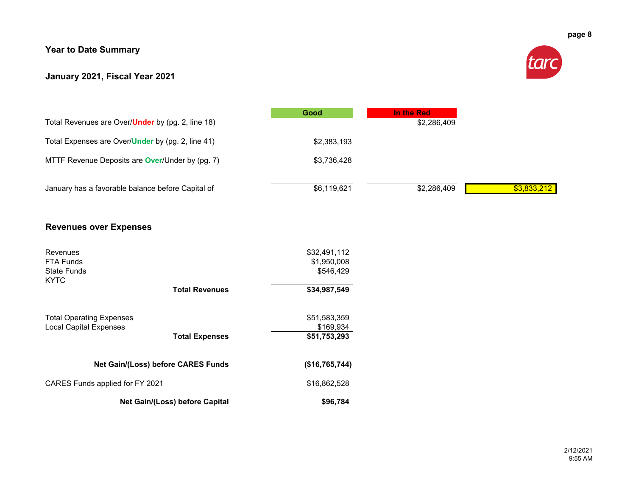## **Year to Date Summary**

## **January 2021, Fiscal Year 2021**



| Total Revenues are Over/ <b>Under</b> by (pg. 2, line 18) | Good        | In the Red<br>\$2,286,409 |             |
|-----------------------------------------------------------|-------------|---------------------------|-------------|
| Total Expenses are Over/Under by (pg. 2, line 41)         | \$2,383,193 |                           |             |
| MTTF Revenue Deposits are <b>Over/Under by (pg. 7)</b>    | \$3,736,428 |                           |             |
| January has a favorable balance before Capital of         | \$6,119,621 | \$2,286,409               | \$3,833,212 |

## **Revenues over Expenses**

| Revenues<br><b>FTA Funds</b><br>State Funds<br><b>KYTC</b> |                                    | \$32,491,112<br>\$1,950,008<br>\$546,429 |
|------------------------------------------------------------|------------------------------------|------------------------------------------|
|                                                            | <b>Total Revenues</b>              | \$34,987,549                             |
|                                                            |                                    |                                          |
| <b>Total Operating Expenses</b>                            |                                    | \$51,583,359                             |
| <b>Local Capital Expenses</b>                              |                                    | \$169.934                                |
|                                                            | <b>Total Expenses</b>              | \$51,753,293                             |
|                                                            |                                    |                                          |
|                                                            | Net Gain/(Loss) before CARES Funds | (\$16,765,744)                           |
| CARES Funds applied for FY 2021                            |                                    | \$16,862,528                             |
|                                                            | Net Gain/(Loss) before Capital     | \$96,784                                 |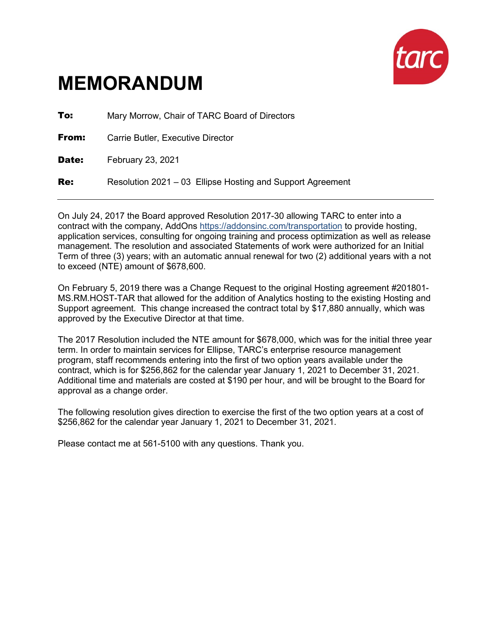

# **MEMORANDUM**

**To:** Mary Morrow, Chair of TARC Board of Directors **From:** Carrie Butler, Executive Director Date: February 23, 2021 **Re:** Resolution 2021 – 03 Ellipse Hosting and Support Agreement

On July 24, 2017 the Board approved Resolution 2017-30 allowing TARC to enter into a contract with the company, AddOns <https://addonsinc.com/transportation> to provide hosting, application services, consulting for ongoing training and process optimization as well as release management. The resolution and associated Statements of work were authorized for an Initial Term of three (3) years; with an automatic annual renewal for two (2) additional years with a not to exceed (NTE) amount of \$678,600.

On February 5, 2019 there was a Change Request to the original Hosting agreement #201801- MS.RM.HOST-TAR that allowed for the addition of Analytics hosting to the existing Hosting and Support agreement. This change increased the contract total by \$17,880 annually, which was approved by the Executive Director at that time.

The 2017 Resolution included the NTE amount for \$678,000, which was for the initial three year term. In order to maintain services for Ellipse, TARC's enterprise resource management program, staff recommends entering into the first of two option years available under the contract, which is for \$256,862 for the calendar year January 1, 2021 to December 31, 2021. Additional time and materials are costed at \$190 per hour, and will be brought to the Board for approval as a change order.

The following resolution gives direction to exercise the first of the two option years at a cost of \$256,862 for the calendar year January 1, 2021 to December 31, 2021.

Please contact me at 561-5100 with any questions. Thank you.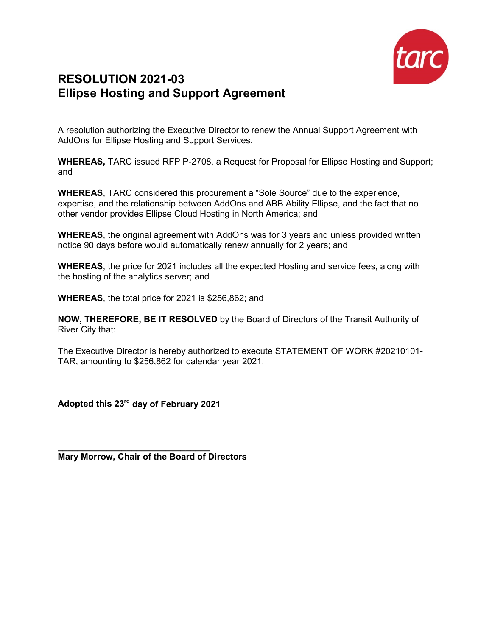

# **RESOLUTION 2021-03 Ellipse Hosting and Support Agreement**

A resolution authorizing the Executive Director to renew the Annual Support Agreement with AddOns for Ellipse Hosting and Support Services.

**WHEREAS,** TARC issued RFP P-2708, a Request for Proposal for Ellipse Hosting and Support; and

**WHEREAS**, TARC considered this procurement a "Sole Source" due to the experience, expertise, and the relationship between AddOns and ABB Ability Ellipse, and the fact that no other vendor provides Ellipse Cloud Hosting in North America; and

**WHEREAS**, the original agreement with AddOns was for 3 years and unless provided written notice 90 days before would automatically renew annually for 2 years; and

**WHEREAS**, the price for 2021 includes all the expected Hosting and service fees, along with the hosting of the analytics server; and

**WHEREAS**, the total price for 2021 is \$256,862; and

**NOW, THEREFORE, BE IT RESOLVED** by the Board of Directors of the Transit Authority of River City that:

The Executive Director is hereby authorized to execute STATEMENT OF WORK #20210101- TAR, amounting to \$256,862 for calendar year 2021.

**Adopted this 23rd day of February 2021**

**\_\_\_\_\_\_\_\_\_\_\_\_\_\_\_\_\_\_\_\_\_\_\_\_\_\_\_\_\_\_\_ Mary Morrow, Chair of the Board of Directors**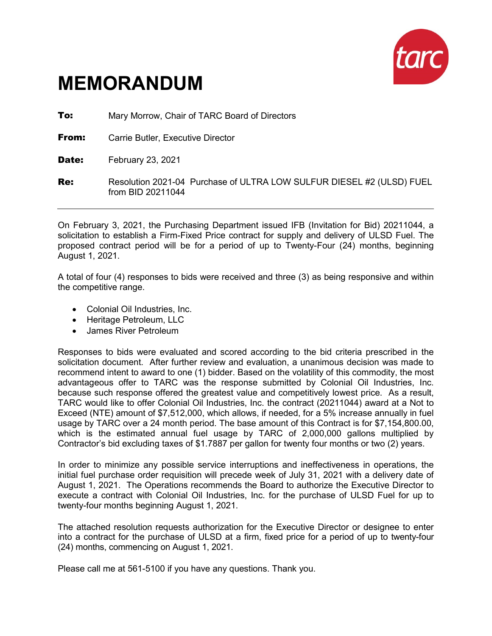

# **MEMORANDUM**

**To:** Mary Morrow, Chair of TARC Board of Directors

**From:** Carrie Butler, Executive Director

Date: February 23, 2021

**Re:** Resolution 2021-04 Purchase of ULTRA LOW SULFUR DIESEL #2 (ULSD) FUEL from BID 20211044

On February 3, 2021, the Purchasing Department issued IFB (Invitation for Bid) 20211044, a solicitation to establish a Firm-Fixed Price contract for supply and delivery of ULSD Fuel. The proposed contract period will be for a period of up to Twenty-Four (24) months, beginning August 1, 2021.

A total of four (4) responses to bids were received and three (3) as being responsive and within the competitive range.

- Colonial Oil Industries, Inc.
- Heritage Petroleum, LLC
- James River Petroleum

Responses to bids were evaluated and scored according to the bid criteria prescribed in the solicitation document. After further review and evaluation, a unanimous decision was made to recommend intent to award to one (1) bidder. Based on the volatility of this commodity, the most advantageous offer to TARC was the response submitted by Colonial Oil Industries, Inc. because such response offered the greatest value and competitively lowest price. As a result, TARC would like to offer Colonial Oil Industries, Inc. the contract (20211044) award at a Not to Exceed (NTE) amount of \$7,512,000, which allows, if needed, for a 5% increase annually in fuel usage by TARC over a 24 month period. The base amount of this Contract is for \$7,154,800.00, which is the estimated annual fuel usage by TARC of 2,000,000 gallons multiplied by Contractor's bid excluding taxes of \$1.7887 per gallon for twenty four months or two (2) years.

In order to minimize any possible service interruptions and ineffectiveness in operations, the initial fuel purchase order requisition will precede week of July 31, 2021 with a delivery date of August 1, 2021. The Operations recommends the Board to authorize the Executive Director to execute a contract with Colonial Oil Industries, Inc. for the purchase of ULSD Fuel for up to twenty-four months beginning August 1, 2021.

The attached resolution requests authorization for the Executive Director or designee to enter into a contract for the purchase of ULSD at a firm, fixed price for a period of up to twenty-four (24) months, commencing on August 1, 2021.

Please call me at 561-5100 if you have any questions. Thank you.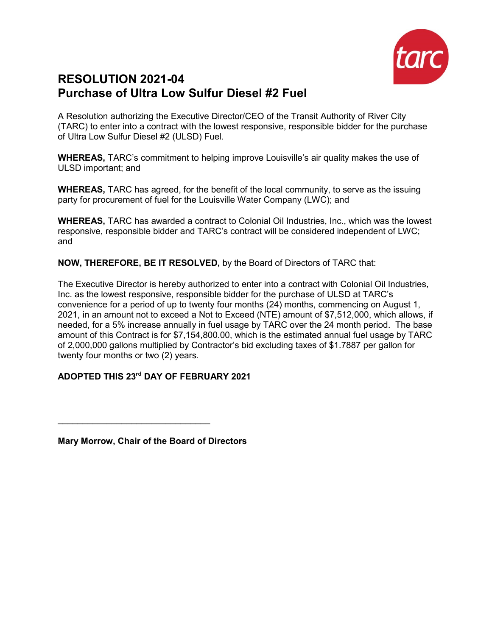

# **RESOLUTION 2021-04 Purchase of Ultra Low Sulfur Diesel #2 Fuel**

A Resolution authorizing the Executive Director/CEO of the Transit Authority of River City (TARC) to enter into a contract with the lowest responsive, responsible bidder for the purchase of Ultra Low Sulfur Diesel #2 (ULSD) Fuel.

**WHEREAS,** TARC's commitment to helping improve Louisville's air quality makes the use of ULSD important; and

**WHEREAS,** TARC has agreed, for the benefit of the local community, to serve as the issuing party for procurement of fuel for the Louisville Water Company (LWC); and

**WHEREAS,** TARC has awarded a contract to Colonial Oil Industries, Inc., which was the lowest responsive, responsible bidder and TARC's contract will be considered independent of LWC; and

**NOW, THEREFORE, BE IT RESOLVED,** by the Board of Directors of TARC that:

The Executive Director is hereby authorized to enter into a contract with Colonial Oil Industries, Inc. as the lowest responsive, responsible bidder for the purchase of ULSD at TARC's convenience for a period of up to twenty four months (24) months, commencing on August 1, 2021, in an amount not to exceed a Not to Exceed (NTE) amount of \$7,512,000, which allows, if needed, for a 5% increase annually in fuel usage by TARC over the 24 month period. The base amount of this Contract is for \$7,154,800.00, which is the estimated annual fuel usage by TARC of 2,000,000 gallons multiplied by Contractor's bid excluding taxes of \$1.7887 per gallon for twenty four months or two (2) years.

## **ADOPTED THIS 23rd DAY OF FEBRUARY 2021**

**Mary Morrow, Chair of the Board of Directors**

\_\_\_\_\_\_\_\_\_\_\_\_\_\_\_\_\_\_\_\_\_\_\_\_\_\_\_\_\_\_\_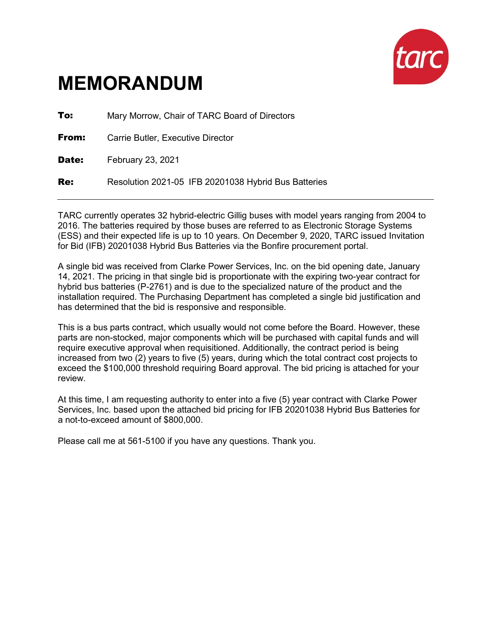

# **MEMORANDUM**

**To:** Mary Morrow, Chair of TARC Board of Directors **From:** Carrie Butler, Executive Director Date: February 23, 2021 Re: Resolution 2021-05 IFB 20201038 Hybrid Bus Batteries

TARC currently operates 32 hybrid-electric Gillig buses with model years ranging from 2004 to 2016. The batteries required by those buses are referred to as Electronic Storage Systems (ESS) and their expected life is up to 10 years. On December 9, 2020, TARC issued Invitation for Bid (IFB) 20201038 Hybrid Bus Batteries via the Bonfire procurement portal.

A single bid was received from Clarke Power Services, Inc. on the bid opening date, January 14, 2021. The pricing in that single bid is proportionate with the expiring two-year contract for hybrid bus batteries (P-2761) and is due to the specialized nature of the product and the installation required. The Purchasing Department has completed a single bid justification and has determined that the bid is responsive and responsible.

This is a bus parts contract, which usually would not come before the Board. However, these parts are non-stocked, major components which will be purchased with capital funds and will require executive approval when requisitioned. Additionally, the contract period is being increased from two (2) years to five (5) years, during which the total contract cost projects to exceed the \$100,000 threshold requiring Board approval. The bid pricing is attached for your review.

At this time, I am requesting authority to enter into a five (5) year contract with Clarke Power Services, Inc. based upon the attached bid pricing for IFB 20201038 Hybrid Bus Batteries for a not-to-exceed amount of \$800,000.

Please call me at 561-5100 if you have any questions. Thank you.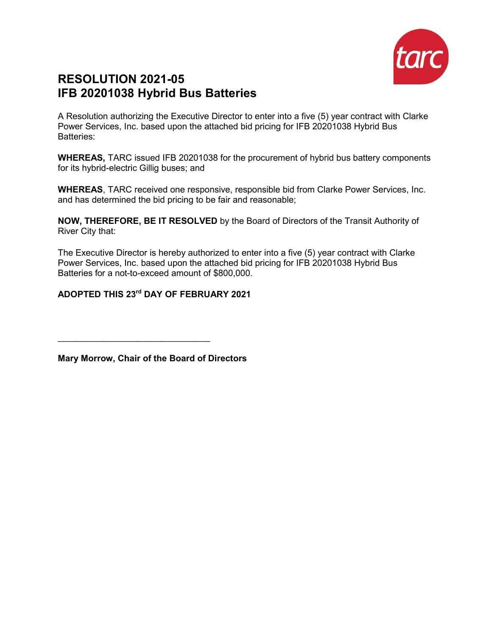

## **RESOLUTION 2021-05 IFB 20201038 Hybrid Bus Batteries**

A Resolution authorizing the Executive Director to enter into a five (5) year contract with Clarke Power Services, Inc. based upon the attached bid pricing for IFB 20201038 Hybrid Bus Batteries:

**WHEREAS,** TARC issued IFB 20201038 for the procurement of hybrid bus battery components for its hybrid-electric Gillig buses; and

**WHEREAS**, TARC received one responsive, responsible bid from Clarke Power Services, Inc. and has determined the bid pricing to be fair and reasonable;

**NOW, THEREFORE, BE IT RESOLVED** by the Board of Directors of the Transit Authority of River City that:

The Executive Director is hereby authorized to enter into a five (5) year contract with Clarke Power Services, Inc. based upon the attached bid pricing for IFB 20201038 Hybrid Bus Batteries for a not-to-exceed amount of \$800,000.

**ADOPTED THIS 23rd DAY OF FEBRUARY 2021** 

**Mary Morrow, Chair of the Board of Directors**

\_\_\_\_\_\_\_\_\_\_\_\_\_\_\_\_\_\_\_\_\_\_\_\_\_\_\_\_\_\_\_